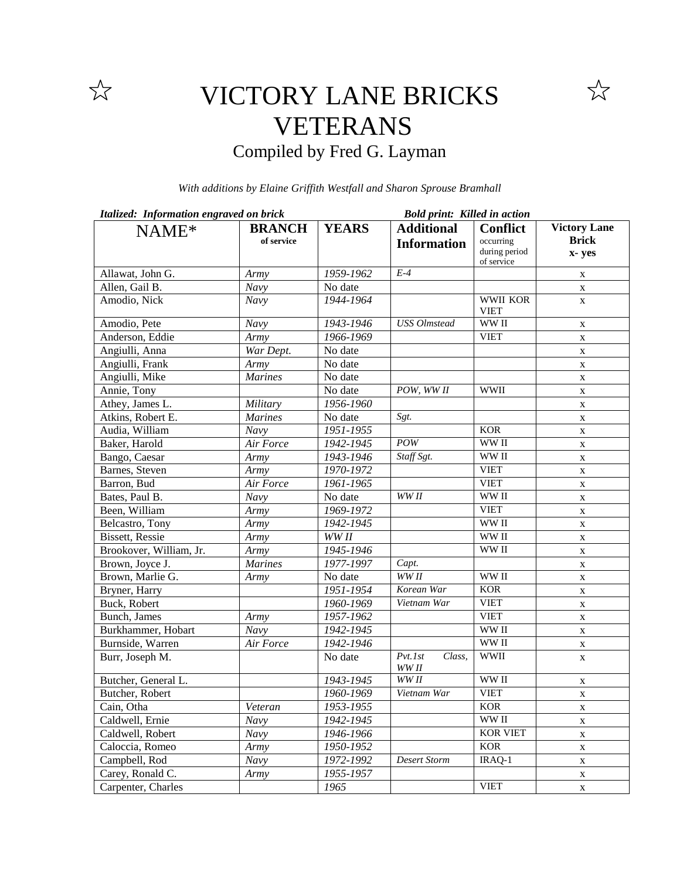

## VICTORY LANE BRICKS VETERANS Compiled by Fred G. Layman

*With additions by Elaine Griffith Westfall and Sharon Sprouse Bramhall*

| Italized: Information engraved on brick |                |              | <b>Bold print: Killed in action</b> |                             |              |  |
|-----------------------------------------|----------------|--------------|-------------------------------------|-----------------------------|--------------|--|
| NAME*                                   | <b>BRANCH</b>  | <b>YEARS</b> | <b>Additional</b>                   | <b>Conflict</b>             | Victory Lane |  |
|                                         | of service     |              | <b>Information</b>                  | occurring                   | <b>Brick</b> |  |
|                                         |                |              |                                     | during period<br>of service | x-yes        |  |
| Allawat, John G.                        | Army           | 1959-1962    | $E-4$                               |                             | X            |  |
| Allen, Gail B.                          | Navy           | No date      |                                     |                             | X            |  |
| Amodio, Nick                            | Navy           | 1944-1964    |                                     | WWII KOR<br><b>VIET</b>     | $\mathbf X$  |  |
| Amodio, Pete                            | Navy           | 1943-1946    | <b>USS</b> Olmstead                 | WW II                       | X            |  |
| Anderson, Eddie                         | Army           | 1966-1969    |                                     | <b>VIET</b>                 | X            |  |
| Angiulli, Anna                          | War Dept.      | No date      |                                     |                             | X            |  |
| Angiulli, Frank                         | Army           | No date      |                                     |                             | X            |  |
| Angiulli, Mike                          | <b>Marines</b> | No date      |                                     |                             | X            |  |
| Annie, Tony                             |                | No date      | POW, WW II                          | <b>WWII</b>                 | X            |  |
| Athey, James L.                         | Military       | 1956-1960    |                                     |                             | X            |  |
| Atkins, Robert E.                       | <b>Marines</b> | No date      | Sgt.                                |                             | X            |  |
| Audia, William                          | Navy           | 1951-1955    |                                     | <b>KOR</b>                  | X            |  |
| Baker, Harold                           | Air Force      | 1942-1945    | POW                                 | WW II                       | X            |  |
| Bango, Caesar                           | Army           | 1943-1946    | Staff Sgt.                          | WW II                       | X            |  |
| Barnes, Steven                          | Army           | 1970-1972    |                                     | <b>VIET</b>                 | X            |  |
| Barron, Bud                             | Air Force      | 1961-1965    |                                     | <b>VIET</b>                 | X            |  |
| Bates, Paul B.                          | Navy           | No date      | WW II                               | WW II                       | X            |  |
| Been, William                           | Army           | 1969-1972    |                                     | <b>VIET</b>                 | X            |  |
| Belcastro, Tony                         | Army           | 1942-1945    |                                     | WW II                       | X            |  |
| <b>Bissett</b> , Ressie                 | Army           | WW II        |                                     | WW II                       | X            |  |
| Brookover, William, Jr.                 | Army           | 1945-1946    |                                     | WW II                       | X            |  |
| Brown, Joyce J.                         | <b>Marines</b> | 1977-1997    | Capt.                               |                             | X            |  |
| Brown, Marlie G.                        | Army           | No date      | WW II                               | WW II                       | X            |  |
| Bryner, Harry                           |                | 1951-1954    | Korean War                          | <b>KOR</b>                  | X            |  |
| Buck, Robert                            |                | 1960-1969    | Vietnam War                         | <b>VIET</b>                 | X            |  |
| Bunch, James                            | Army           | 1957-1962    |                                     | <b>VIET</b>                 | X            |  |
| Burkhammer, Hobart                      | Navy           | 1942-1945    |                                     | WW II                       | X            |  |
| Burnside, Warren                        | Air Force      | 1942-1946    |                                     | WW II                       | X            |  |
| Burr, Joseph M.                         |                | No date      | $Pvt.$ Ist<br>Class,<br>$WW\,II$    | <b>WWII</b>                 | X            |  |
| Butcher, General L.                     |                | 1943-1945    | WW <sub>II</sub>                    | WW II                       | X            |  |
| Butcher, Robert                         |                | 1960-1969    | Vietnam War                         | <b>VIET</b>                 | X            |  |
| Cain, Otha                              | Veteran        | 1953-1955    |                                     | <b>KOR</b>                  | X            |  |
| Caldwell, Ernie                         | Navy           | 1942-1945    |                                     | WW II                       | X            |  |
| Caldwell, Robert                        | Navy           | 1946-1966    |                                     | <b>KOR VIET</b>             | X            |  |
| Caloccia, Romeo                         | Army           | 1950-1952    |                                     | <b>KOR</b>                  | X            |  |
| Campbell, Rod                           | <b>Navy</b>    | 1972-1992    | <b>Desert Storm</b>                 | IRAQ-1                      | X            |  |
| Carey, Ronald C.                        | Army           | 1955-1957    |                                     |                             | X            |  |
| Carpenter, Charles                      |                | 1965         |                                     | <b>VIET</b>                 | X            |  |

 $\overleftrightarrow{\lambda}$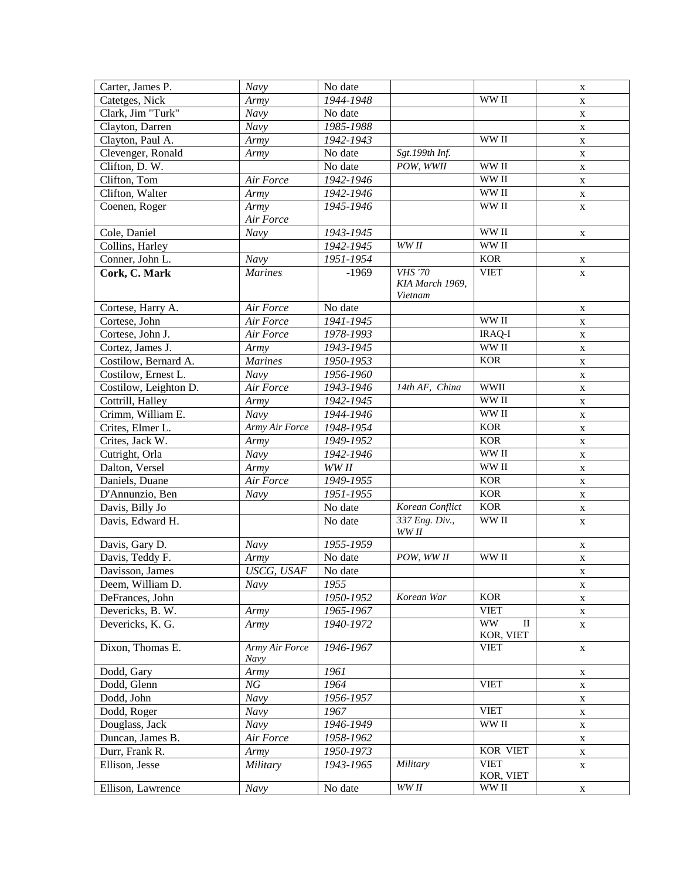| Carter, James P.                 | $\bar{N}$ avy          | No date                       |                                   |                                       | $\mathbf X$ |
|----------------------------------|------------------------|-------------------------------|-----------------------------------|---------------------------------------|-------------|
| Catetges, Nick                   | Army                   | 1944-1948                     |                                   | WW II                                 | $\mathbf X$ |
| Clark, Jim "Turk"                | $\overline{N}$ avy     | No date                       |                                   |                                       | $\mathbf X$ |
| Clayton, Darren                  | $\overline{N}$ avy     | 1985-1988                     |                                   |                                       | X           |
| Clayton, Paul A.                 | Army                   | 1942-1943                     |                                   | WW II                                 | $\mathbf X$ |
| Clevenger, Ronald                | Army                   | No date                       | Sgt.199th Inf.                    |                                       | $\mathbf X$ |
| Clifton, D.W.                    |                        | No date                       | POW, WWII                         | WW II                                 | X           |
| Clifton, Tom                     | Air Force              | 1942-1946                     |                                   | WW II                                 | $\mathbf X$ |
| Clifton, Walter                  | Army                   | 1942-1946                     |                                   | WW II                                 | X           |
| Coenen, Roger                    | Army                   | 1945-1946                     |                                   | WW II                                 | $\mathbf X$ |
|                                  | Air Force              |                               |                                   |                                       |             |
| Cole, Daniel                     | Navy                   | 1943-1945                     |                                   | WW II                                 | X           |
| Collins, Harley                  |                        | 1942-1945                     | WW II                             | WW II                                 |             |
| Conner, John L.                  | Navy                   | $1951 - 1954$                 |                                   | <b>KOR</b>                            | X           |
| Cork, C. Mark                    | <b>Marines</b>         | $-1969$                       | <b>VHS</b> '70<br>KIA March 1969, | <b>VIET</b>                           | X           |
|                                  |                        |                               | Vietnam                           |                                       |             |
| Cortese, Harry A.                | Air Force              | No date                       |                                   |                                       | X           |
| Cortese, John                    | Air Force              | 1941-1945                     |                                   | WW II                                 | X           |
| Cortese, John J.                 | Air Force              | 1978-1993                     |                                   | <b>IRAQ-I</b>                         | X           |
| Cortez, James J.                 | Army                   | 1943-1945                     |                                   | WW II                                 | X           |
| Costilow, Bernard A.             | <b>Marines</b>         | 1950-1953                     |                                   | <b>KOR</b>                            | X           |
| Costilow, Ernest L.              | Navy                   | 1956-1960                     |                                   | <b>WWII</b>                           | X           |
| Costilow, Leighton D.            | Air Force              | 1943-1946                     | 14th AF, China                    | WW II                                 | X           |
| Cottrill, Halley                 | Armv                   | 1942-1945                     |                                   |                                       | X           |
| Crimm, William E.                | Navy                   | 1944-1946                     |                                   | WW II                                 | X           |
| Crites, Elmer L.                 | Army Air Force         | 1948-1954                     |                                   | <b>KOR</b>                            | X           |
| Crites, Jack W.                  | Army                   | 1949-1952                     |                                   | <b>KOR</b><br>WW II                   | X           |
| Cutright, Orla<br>Dalton, Versel | Navy<br>Army           | 1942-1946<br>WW <sub>II</sub> |                                   | WW II                                 | X           |
| Daniels, Duane                   | Air Force              | 1949-1955                     |                                   | <b>KOR</b>                            | X           |
| D'Annunzio, Ben                  | Navy                   | 1951-1955                     |                                   | <b>KOR</b>                            | X           |
| Davis, Billy Jo                  |                        | No date                       | Korean Conflict                   | <b>KOR</b>                            | X<br>X      |
| Davis, Edward H.                 |                        | No date                       | 337 Eng. Div.,                    | WW II                                 | X           |
|                                  |                        |                               | WW II                             |                                       |             |
| Davis, Gary D.                   | Navy                   | 1955-1959                     |                                   |                                       | X           |
| Davis, Teddy F.                  | Army                   | No date                       | POW, WW II                        | WW II                                 | X           |
| Davisson, James                  | USCG, USAF             | No date                       |                                   |                                       | $\mathbf X$ |
| Deem, William D.                 | Navy                   | 1955                          |                                   |                                       | X           |
| DeFrances, John                  |                        | 1950-1952                     | Korean War                        | <b>KOR</b>                            | $\mathbf X$ |
| Devericks, B. W.                 | Army                   | 1965-1967                     |                                   | <b>VIET</b>                           | X           |
| Devericks, K. G.                 | Army                   | 1940-1972                     |                                   | <b>WW</b><br>$_{\rm II}$<br>KOR, VIET | X           |
| Dixon, Thomas E.                 | Army Air Force<br>Navy | 1946-1967                     |                                   | <b>VIET</b>                           | $\mathbf X$ |
| Dodd, Gary                       | Army                   | 1961                          |                                   |                                       | X           |
| Dodd, Glenn                      | NG                     | 1964                          |                                   | <b>VIET</b>                           | X           |
| Dodd, John                       | Navy                   | 1956-1957                     |                                   |                                       | X           |
| Dodd, Roger                      | Navy                   | 1967                          |                                   | <b>VIET</b>                           | X           |
| Douglass, Jack                   | Navy                   | 1946-1949                     |                                   | WW II                                 | X           |
| Duncan, James B.                 | Air Force              | 1958-1962                     |                                   |                                       | X           |
| Durr, Frank R.                   | Army                   | 1950-1973                     |                                   | <b>KOR VIET</b>                       | X           |
| Ellison, Jesse                   | Military               | 1943-1965                     | Military                          | <b>VIET</b><br>KOR, VIET              | $\mathbf X$ |
| Ellison, Lawrence                | Navy                   | No date                       | WW <sub>II</sub>                  | WW II                                 | $\mathbf X$ |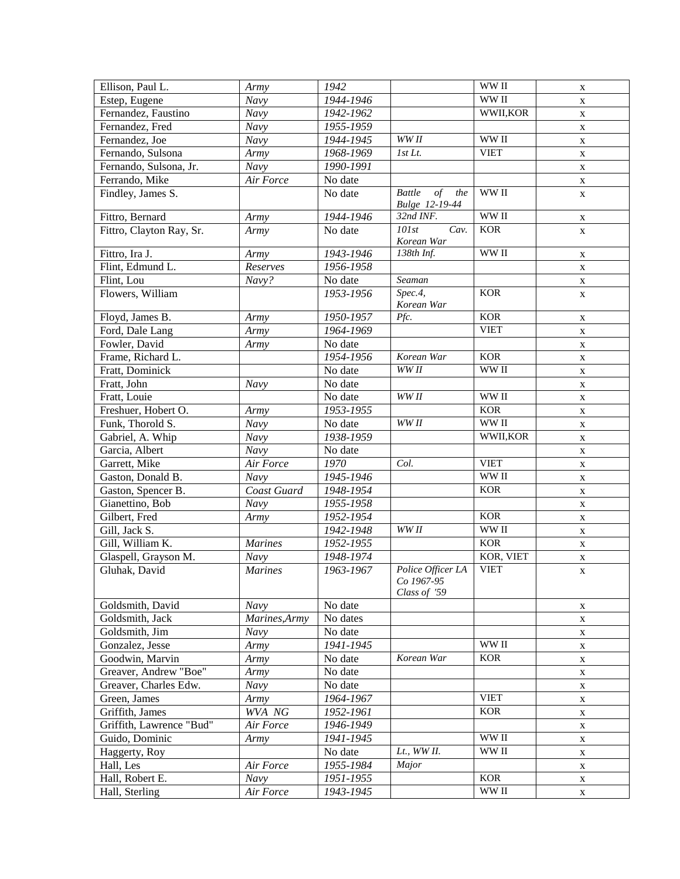| Ellison, Paul L.         | Army           | 1942      |                                                           | WW II       | $\mathbf X$ |
|--------------------------|----------------|-----------|-----------------------------------------------------------|-------------|-------------|
| Estep, Eugene            | Navy           | 1944-1946 |                                                           | WW II       | $\mathbf X$ |
| Fernandez, Faustino      | Navy           | 1942-1962 |                                                           | WWII, KOR   | $\mathbf X$ |
| Fernandez, Fred          | Navy           | 1955-1959 |                                                           |             | $\mathbf X$ |
| Fernandez, Joe           | Navy           | 1944-1945 | WW II                                                     | WW II       | $\mathbf X$ |
| Fernando, Sulsona        | Army           | 1968-1969 | 1st Lt.                                                   | <b>VIET</b> | $\mathbf X$ |
| Fernando, Sulsona, Jr.   | Navy           | 1990-1991 |                                                           |             | $\mathbf X$ |
| Ferrando, Mike           | Air Force      | No date   |                                                           |             | $\mathbf X$ |
| Findley, James S.        |                | No date   | $\overline{of}$<br><b>Battle</b><br>the<br>Bulge 12-19-44 | WW II       | $\mathbf X$ |
| Fittro, Bernard          | Army           | 1944-1946 | 32nd INF.                                                 | WW II       | X           |
| Fittro, Clayton Ray, Sr. | Army           | No date   | $10$ 1st<br>Cav.<br>Korean War                            | <b>KOR</b>  | $\mathbf X$ |
| Fittro, Ira J.           | Army           | 1943-1946 | 138th Inf.                                                | WW II       | X           |
| Flint, Edmund L.         | Reserves       | 1956-1958 |                                                           |             | X           |
| Flint, Lou               | Navy?          | No date   | Seaman                                                    |             | X           |
| Flowers, William         |                | 1953-1956 | Spec.4,<br>Korean War                                     | <b>KOR</b>  | X           |
| Floyd, James B.          | Army           | 1950-1957 | Pfc.                                                      | <b>KOR</b>  | X           |
| Ford, Dale Lang          | Army           | 1964-1969 |                                                           | <b>VIET</b> | X           |
| Fowler, David            | Army           | No date   |                                                           |             | X           |
| Frame, Richard L.        |                | 1954-1956 | Korean War                                                | <b>KOR</b>  | X           |
| Fratt, Dominick          |                | No date   | WW II                                                     | WW II       | $\mathbf X$ |
| Fratt, John              | Navy           | No date   |                                                           |             | X           |
| Fratt, Louie             |                | No date   | WW <sub>II</sub>                                          | WW II       | X           |
| Freshuer, Hobert O.      | Army           | 1953-1955 |                                                           | <b>KOR</b>  | $\mathbf X$ |
| Funk, Thorold S.         | Navy           | No date   | WW <sub>II</sub>                                          | WW II       | X           |
| Gabriel, A. Whip         | Navy           | 1938-1959 |                                                           | WWII, KOR   | X           |
| Garcia, Albert           | Navy           | No date   |                                                           |             | X           |
| Garrett, Mike            | Air Force      | 1970      | Col.                                                      | <b>VIET</b> | X           |
| Gaston, Donald B.        | Navy           | 1945-1946 |                                                           | WW II       | X           |
| Gaston, Spencer B.       | Coast Guard    | 1948-1954 |                                                           | <b>KOR</b>  | X           |
| Gianettino, Bob          | Navy           | 1955-1958 |                                                           |             | X           |
| Gilbert, Fred            | Army           | 1952-1954 |                                                           | <b>KOR</b>  | X           |
| Gill, Jack S.            |                | 1942-1948 | WW <sub>II</sub>                                          | WW II       | X           |
| Gill, William K.         | <b>Marines</b> | 1952-1955 |                                                           | <b>KOR</b>  | X           |
| Glaspell, Grayson M.     | Navy           | 1948-1974 |                                                           | KOR, VIET   | X           |
| Gluhak, David            | <b>Marines</b> | 1963-1967 | Police Officer LA<br>Co 1967-95<br>Class of '59           | <b>VIET</b> | X           |
| Goldsmith, David         | Navy           | No date   |                                                           |             | X           |
| Goldsmith, Jack          | Marines, Army  | No dates  |                                                           |             | X           |
| Goldsmith, Jim           | Navy           | No date   |                                                           |             | X           |
| Gonzalez, Jesse          | Army           | 1941-1945 |                                                           | WW II       | X           |
| Goodwin, Marvin          | Army           | No date   | Korean War                                                | <b>KOR</b>  | X           |
| Greaver, Andrew "Boe"    | Army           | No date   |                                                           |             | X           |
| Greaver, Charles Edw.    | Navy           | No date   |                                                           |             | X           |
| Green, James             | Army           | 1964-1967 |                                                           | <b>VIET</b> | X           |
| Griffith, James          | WVA NG         | 1952-1961 |                                                           | <b>KOR</b>  | X           |
| Griffith, Lawrence "Bud" | Air Force      | 1946-1949 |                                                           |             | X           |
| Guido, Dominic           | Army           | 1941-1945 |                                                           | WW II       | X           |
| Haggerty, Roy            |                | No date   | $Lt$ ., WW $II$ .                                         | WW II       | X           |
| Hall, Les                | Air Force      | 1955-1984 | Major                                                     |             | X           |
| Hall, Robert E.          | Navy           | 1951-1955 |                                                           | <b>KOR</b>  | X           |
| Hall, Sterling           | Air Force      | 1943-1945 |                                                           | WW II       | X           |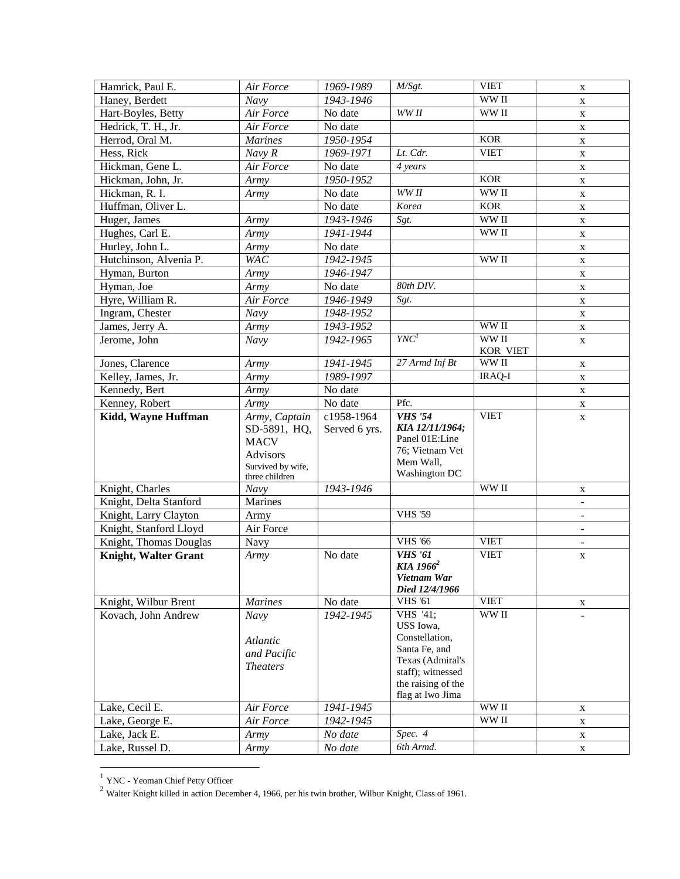| Hamrick, Paul E.            | Air Force              | 1969-1989             | M/Sgt.                                | <b>VIET</b>                        | X              |
|-----------------------------|------------------------|-----------------------|---------------------------------------|------------------------------------|----------------|
| Haney, Berdett              | Navy                   | 1943-1946             |                                       | WW II                              | $\mathbf X$    |
| Hart-Boyles, Betty          | Air Force              | No date               | WW II                                 | WW II                              | X              |
| Hedrick, T. H., Jr.         | Air Force              | No date               |                                       |                                    | X              |
| Herrod, Oral M.             | <b>Marines</b>         | 1950-1954             |                                       | <b>KOR</b>                         | $\mathbf X$    |
| Hess, Rick                  | Navy R                 | 1969-1971             | Lt. Cdr.                              | <b>VIET</b>                        | $\mathbf X$    |
| Hickman, Gene L.            | Air Force              | No date               | 4 years                               |                                    | X              |
| Hickman, John, Jr.          | Army                   | 1950-1952             |                                       | <b>KOR</b>                         | $\mathbf X$    |
| Hickman, R. I.              | Army                   | $\overline{N}$ o date | WW II                                 | WW II                              | $\mathbf X$    |
| Huffman, Oliver L.          |                        | No date               | Korea                                 | <b>KOR</b>                         | X              |
| Huger, James                | Army                   | 1943-1946             | Sgt.                                  | WW II                              | X              |
| Hughes, Carl E.             | Army                   | 1941-1944             |                                       | WW II                              | X              |
| Hurley, John L.             | Army                   | No date               |                                       |                                    | $\mathbf X$    |
| Hutchinson, Alvenia P.      | <b>WAC</b>             | 1942-1945             |                                       | WW II                              | $\mathbf X$    |
| Hyman, Burton               | Army                   | 1946-1947             |                                       |                                    | X              |
| Hyman, Joe                  | Army                   | No date               | 80th DIV.                             |                                    | $\mathbf X$    |
| Hyre, William R.            | Air Force              | 1946-1949             | Sgt.                                  |                                    | $\mathbf X$    |
| Ingram, Chester             | Navy                   | 1948-1952             |                                       |                                    | X              |
| James, Jerry A.             | Army                   | 1943-1952             |                                       | WW II                              | $\mathbf X$    |
| Jerome, John                | Navy                   | 1942-1965             | YNC <sup>1</sup>                      | WW II                              | $\mathbf X$    |
|                             |                        |                       |                                       | KOR VIET                           |                |
| Jones, Clarence             | Army                   | 1941-1945             | 27 Armd Inf Bt                        | $\ensuremath{\text{WW}}\xspace$ II | $\mathbf X$    |
| Kelley, James, Jr.          | Army                   | 1989-1997             |                                       | <b>IRAQ-I</b>                      | $\mathbf X$    |
| Kennedy, Bert               | Army                   | No date               |                                       |                                    | $\mathbf X$    |
| Kenney, Robert              | Army                   | No date               | Pfc.                                  |                                    | $\mathbf X$    |
| Kidd, Wayne Huffman         | Army, Captain          | c1958-1964            | <b>VHS</b> '54                        | <b>VIET</b>                        | $\mathbf X$    |
|                             | SD-5891, HQ,           | Served 6 yrs.         | KIA 12/11/1964;                       |                                    |                |
|                             | <b>MACV</b>            |                       | Panel 01E:Line                        |                                    |                |
|                             | Advisors               |                       | 76; Vietnam Vet<br>Mem Wall,          |                                    |                |
|                             | Survived by wife,      |                       | Washington DC                         |                                    |                |
| Knight, Charles             | three children<br>Navy | 1943-1946             |                                       | WW II                              |                |
| Knight, Delta Stanford      | Marines                |                       |                                       |                                    | X<br>$\omega$  |
| Knight, Larry Clayton       | Army                   |                       | <b>VHS '59</b>                        |                                    | $\blacksquare$ |
| Knight, Stanford Lloyd      | Air Force              |                       |                                       |                                    |                |
| Knight, Thomas Douglas      |                        |                       | <b>VHS '66</b>                        | <b>VIET</b>                        | $\blacksquare$ |
| <b>Knight, Walter Grant</b> | Navy                   | No date               | <b>VHS</b> '61                        | <b>VIET</b>                        | $\blacksquare$ |
|                             | Army                   |                       | KIA 1966 <sup>2</sup>                 |                                    | X              |
|                             |                        |                       | Vietnam War                           |                                    |                |
|                             |                        |                       | Died 12/4/1966                        |                                    |                |
| Knight, Wilbur Brent        | <i>Marines</i>         | No date               | <b>VHS</b> '61                        | <b>VIET</b>                        | X              |
| Kovach, John Andrew         | Navy                   | 1942-1945             | VHS '41;                              | WW II                              |                |
|                             |                        |                       | USS Iowa,                             |                                    |                |
|                             | Atlantic               |                       | Constellation,                        |                                    |                |
|                             | and Pacific            |                       | Santa Fe, and                         |                                    |                |
|                             | <b>Theaters</b>        |                       | Texas (Admiral's<br>staff); witnessed |                                    |                |
|                             |                        |                       | the raising of the                    |                                    |                |
|                             |                        |                       | flag at Iwo Jima                      |                                    |                |
| Lake, Cecil E.              | Air Force              | 1941-1945             |                                       | WW II                              | X              |
| Lake, George E.             | Air Force              | 1942-1945             |                                       | WW II                              | X              |
| Lake, Jack E.               | Army                   | No date               | Spec. 4                               |                                    | X              |
| Lake, Russel D.             | Army                   | No date               | 6th Armd.                             |                                    | X              |

 1 YNC - Yeoman Chief Petty Officer

<sup>&</sup>lt;sup>2</sup> Walter Knight killed in action December 4, 1966, per his twin brother, Wilbur Knight, Class of 1961.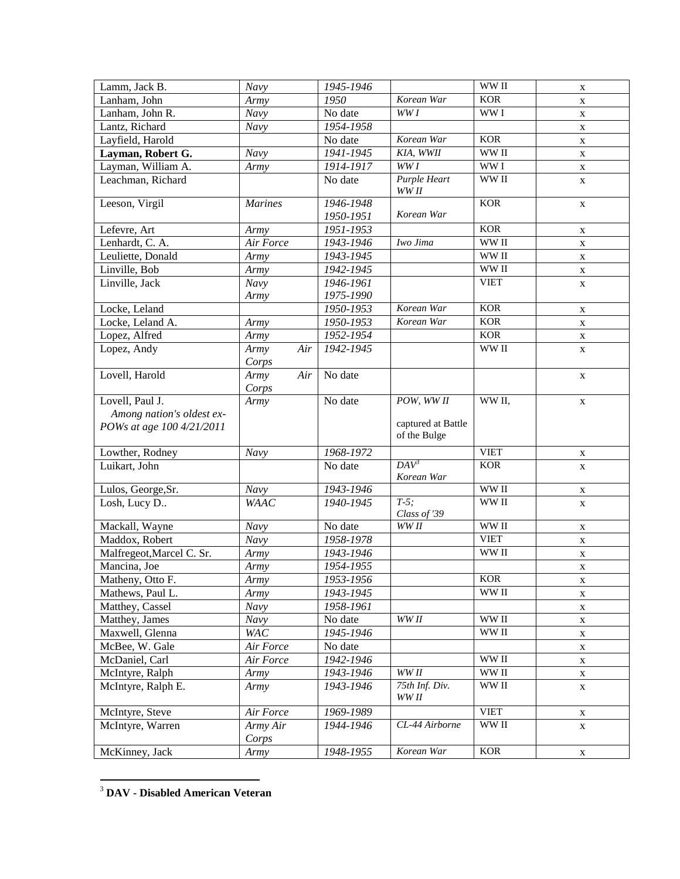| Lamm, Jack B.             | Navy               | 1945-1946               |                     | WW II       | $\mathbf X$ |
|---------------------------|--------------------|-------------------------|---------------------|-------------|-------------|
| Lanham, John              | Army               | 1950                    | Korean War          | <b>KOR</b>  | X           |
| Lanham, John R.           | $\overline{N}$ avy | No date                 | WW I                | WW I        | X           |
| Lantz, Richard            | $\bar{N}$ avy      | 1954-1958               |                     |             | X           |
| Layfield, Harold          |                    | No date                 | Korean War          | <b>KOR</b>  | X           |
| Layman, Robert G.         | $\overline{N}$ avy | 1941-1945               | KIA, WWII           | WW II       | X           |
| Layman, William A.        | Army               | 1914-1917               | WW I                | WW I        | X           |
| Leachman, Richard         |                    | No date                 | <b>Purple Heart</b> | WW II       | X           |
|                           |                    |                         | WW II               |             |             |
| Leeson, Virgil            | <b>Marines</b>     | 1946-1948               |                     | <b>KOR</b>  | $\mathbf X$ |
|                           |                    | 1950-1951               | Korean War          |             |             |
| Lefevre, Art              | Army               | 1951-1953               |                     | <b>KOR</b>  | $\mathbf X$ |
| Lenhardt, C. A.           | Air Force          | 1943-1946               | Iwo Jima            | WW II       | X           |
| Leuliette, Donald         | Army               | 1943-1945               |                     | WW II       | $\mathbf X$ |
| Linville, Bob             | Army               | 1942-1945               |                     | WW II       | $\mathbf X$ |
| Linville, Jack            | Navy               | 1946-1961               |                     | <b>VIET</b> | $\mathbf X$ |
|                           | Army               | 1975-1990               |                     |             |             |
| Locke, Leland             |                    | 1950-1953               | Korean War          | <b>KOR</b>  | X           |
| Locke, Leland A.          | Army               | 1950-1953               | Korean War          | <b>KOR</b>  | $\mathbf X$ |
| Lopez, Alfred             | Army               | 1952-1954               |                     | <b>KOR</b>  | X           |
| Lopez, Andy               | Air<br>Army        | 1942-1945               |                     | WW II       | $\mathbf X$ |
|                           | Corps              |                         |                     |             |             |
| Lovell, Harold            | Army<br>Air        | No date                 |                     |             | X           |
|                           | Corps              |                         |                     |             |             |
| Lovell, Paul J.           | Army               | No date                 | POW, WW II          | WW II,      | X           |
| Among nation's oldest ex- |                    |                         |                     |             |             |
| POWs at age 100 4/21/2011 |                    |                         | captured at Battle  |             |             |
|                           |                    |                         | of the Bulge        |             |             |
| Lowther, Rodney           | Navy               | 1968-1972               |                     | <b>VIET</b> | X           |
| Luikart, John             |                    | No date                 | $DAV^3$             | <b>KOR</b>  | X           |
|                           |                    |                         | Korean War          |             |             |
| Lulos, George, Sr.        | $\overline{N}$ avy | 1943-1946               |                     | WW II       | X           |
| Losh, Lucy D              | <b>WAAC</b>        | 1940-1945               | $T-5$ :             | WW II       | X           |
|                           |                    |                         | Class of '39        |             |             |
| Mackall, Wayne            | Navy               | No date                 | WW II               | WW II       | X           |
| Maddox, Robert            | Navy               | 1958-1978               |                     | <b>VIET</b> | X           |
| Malfregeot, Marcel C. Sr. | Army               | 1943-1946               |                     | WW II       | $\mathbf X$ |
| Mancina, Joe              | Army               | 1954-1955               |                     |             | $\mathbf X$ |
| Matheny, Otto F.          | Army               | $\overline{19}$ 53-1956 |                     | <b>KOR</b>  | $\mathbf X$ |
| Mathews, Paul L.          | Army               | 1943-1945               |                     | WW II       | $\mathbf X$ |
| Matthey, Cassel           | Navy               | 1958-1961               |                     |             | X           |
| Matthey, James            | Navy               | No date                 | WWII                | WW II       | $\mathbf X$ |
| Maxwell, Glenna           | <b>WAC</b>         | 1945-1946               |                     | WW II       | $\mathbf X$ |
| McBee, W. Gale            | Air Force          | No date                 |                     |             | X           |
| McDaniel, Carl            | Air Force          | 1942-1946               |                     | WW II       | $\mathbf X$ |
| McIntyre, Ralph           | Army               | 1943-1946               | WWII                | WW II       | X           |
| McIntyre, Ralph E.        | Army               | 1943-1946               | 75th Inf. Div.      | WW II       | X           |
|                           |                    |                         | WW II               |             |             |
|                           |                    |                         |                     |             |             |
| McIntyre, Steve           | Air Force          | 1969-1989               |                     | <b>VIET</b> | X           |
| McIntyre, Warren          | Army Air           | 1944-1946               | CL-44 Airborne      | WW II       | $\mathbf X$ |
| McKinney, Jack            | Corps<br>Army      | 1948-1955               | Korean War          | <b>KOR</b>  |             |

<sup>3</sup> **DAV - Disabled American Veteran**

 $\overline{a}$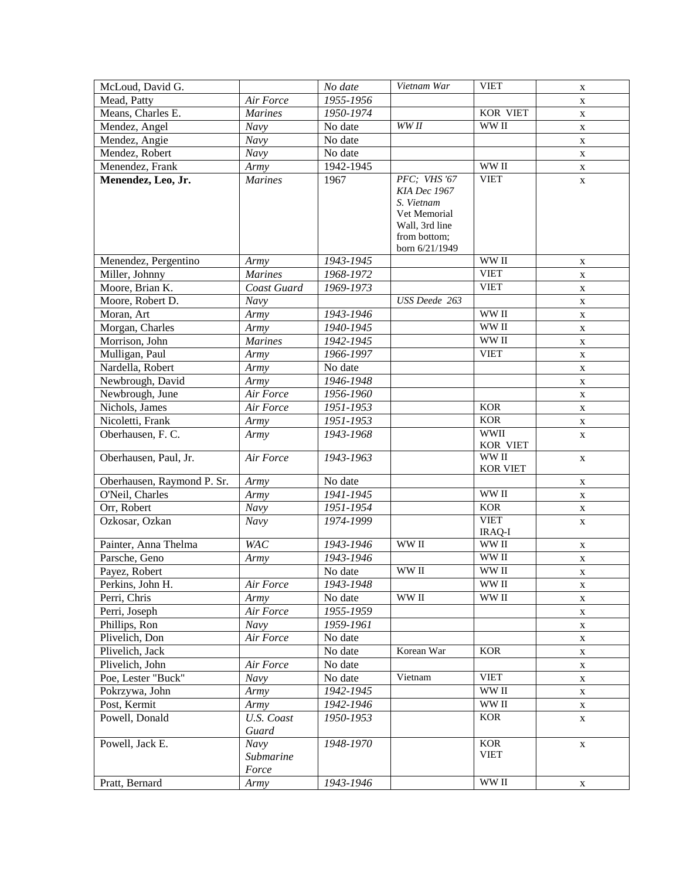| McLoud, David G.           |                                   | No date   | Vietnam War                                                                  | <b>VIET</b>               | $\mathbf X$ |
|----------------------------|-----------------------------------|-----------|------------------------------------------------------------------------------|---------------------------|-------------|
| Mead, Patty                | Air Force                         | 1955-1956 |                                                                              |                           | X           |
| Means, Charles E.          | <b>Marines</b>                    | 1950-1974 |                                                                              | <b>KOR VIET</b>           | X           |
| Mendez, Angel              | Navy                              | No date   | WW <sub>II</sub>                                                             | WW II                     | X           |
| Mendez, Angie              | Navy                              | No date   |                                                                              |                           | $\mathbf X$ |
| Mendez, Robert             | Navy                              | No date   |                                                                              |                           | X           |
| Menendez, Frank            | Army                              | 1942-1945 |                                                                              | WW II                     | X           |
| Menendez, Leo, Jr.         | <b>Marines</b>                    | 1967      | PFC; VHS '67<br>KIA Dec 1967<br>S. Vietnam<br>Vet Memorial<br>Wall, 3rd line | <b>VIET</b>               | $\mathbf X$ |
|                            |                                   |           | from bottom;<br>born 6/21/1949                                               |                           |             |
| Menendez, Pergentino       | Army                              | 1943-1945 |                                                                              | WW II                     | $\mathbf X$ |
| Miller, Johnny             | <b>Marines</b>                    | 1968-1972 |                                                                              | <b>VIET</b>               | X           |
| Moore, Brian K.            | Coast Guard                       | 1969-1973 |                                                                              | <b>VIET</b>               | X           |
| Moore, Robert D.           | Navy                              |           | <b>USS</b> Deede 263                                                         |                           | X           |
| Moran, Art                 | Army                              | 1943-1946 |                                                                              | WW II                     | $\mathbf X$ |
| Morgan, Charles            | Army                              | 1940-1945 |                                                                              | WW II                     | X           |
| Morrison, John             | <b>Marines</b>                    | 1942-1945 |                                                                              | WW II                     | X           |
| Mulligan, Paul             | Army                              | 1966-1997 |                                                                              | <b>VIET</b>               | X           |
| Nardella, Robert           | Army                              | No date   |                                                                              |                           | X           |
| Newbrough, David           | Army                              | 1946-1948 |                                                                              |                           | $\mathbf X$ |
| Newbrough, June            | Air Force                         | 1956-1960 |                                                                              |                           | X           |
| Nichols, James             | Air Force                         | 1951-1953 |                                                                              | <b>KOR</b>                | X           |
| Nicoletti, Frank           | Army                              | 1951-1953 |                                                                              | <b>KOR</b>                | X           |
| Oberhausen, F. C.          | Army                              | 1943-1968 |                                                                              | <b>WWII</b><br>KOR VIET   | $\mathbf X$ |
| Oberhausen, Paul, Jr.      | Air Force                         | 1943-1963 |                                                                              | WW II<br><b>KOR VIET</b>  | $\mathbf X$ |
| Oberhausen, Raymond P. Sr. | Army                              | No date   |                                                                              |                           | $\mathbf X$ |
| O'Neil, Charles            | Army                              | 1941-1945 |                                                                              | WW II                     | $\mathbf X$ |
| Orr, Robert                | Navy                              | 1951-1954 |                                                                              | <b>KOR</b>                | $\mathbf X$ |
| Ozkosar, Ozkan             | Navy                              | 1974-1999 |                                                                              | <b>VIET</b><br>IRAQ-I     | $\mathbf X$ |
| Painter, Anna Thelma       | <b>WAC</b>                        | 1943-1946 | WW II                                                                        | WW II                     | $\mathbf X$ |
| Parsche, Geno              | Army                              | 1943-1946 |                                                                              | WW II                     | $\mathbf X$ |
| Payez, Robert              |                                   | No date   | WW II                                                                        | WW II                     | X           |
| Perkins, John H.           | Air Force                         | 1943-1948 |                                                                              | WW II                     | X           |
| Perri, Chris               | Army                              | No date   | WW <sub>II</sub>                                                             | WW II                     | $\mathbf X$ |
| Perri, Joseph              | Air Force                         | 1955-1959 |                                                                              |                           | X           |
| Phillips, Ron              | Navy                              | 1959-1961 |                                                                              |                           | X           |
| Plivelich, Don             | Air Force                         | No date   |                                                                              |                           | X           |
| Plivelich, Jack            |                                   | No date   | Korean War                                                                   | <b>KOR</b>                | X           |
| Plivelich, John            | Air Force                         | No date   |                                                                              |                           | X           |
| Poe, Lester "Buck"         | Navy                              | No date   | Vietnam                                                                      | <b>VIET</b>               | X           |
| Pokrzywa, John             | Army                              | 1942-1945 |                                                                              | WW II                     | X           |
| Post, Kermit               | Army                              | 1942-1946 |                                                                              | WW II                     | X           |
| Powell, Donald             | U.S. Coast<br>Guard               | 1950-1953 |                                                                              | <b>KOR</b>                | $\mathbf X$ |
| Powell, Jack E.            | <b>Navy</b><br>Submarine<br>Force | 1948-1970 |                                                                              | <b>KOR</b><br><b>VIET</b> | $\mathbf X$ |
| Pratt, Bernard             | Army                              | 1943-1946 |                                                                              | WW II                     | X           |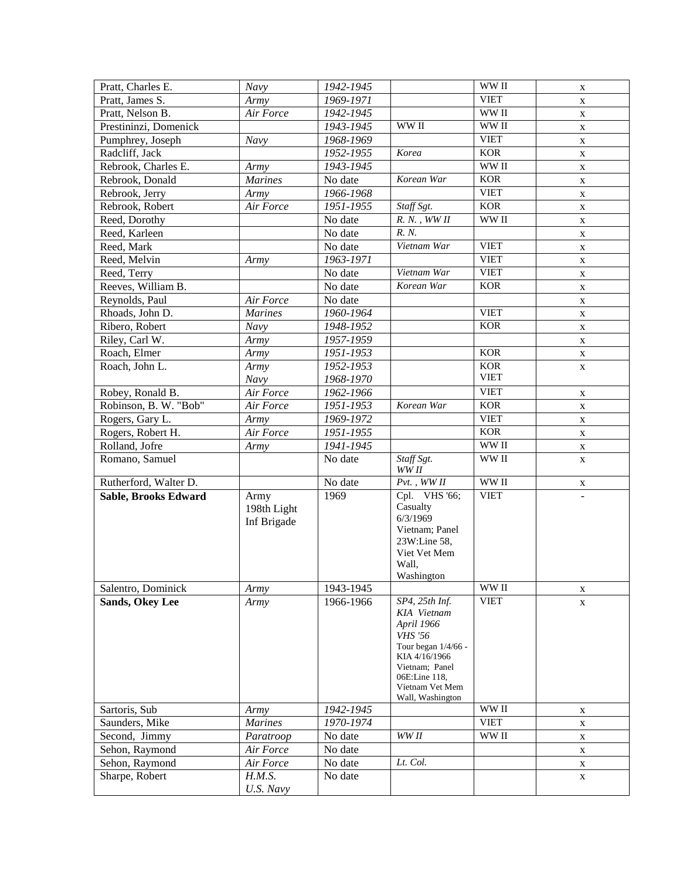| Pratt, Charles E.     | Navy                               | 1942-1945 |                                                                                                                                                                                 | WW II            | X           |
|-----------------------|------------------------------------|-----------|---------------------------------------------------------------------------------------------------------------------------------------------------------------------------------|------------------|-------------|
| Pratt, James S.       | Army                               | 1969-1971 |                                                                                                                                                                                 | <b>VIET</b>      | X           |
| Pratt, Nelson B.      | Air Force                          | 1942-1945 |                                                                                                                                                                                 | WW II            | X           |
| Prestininzi, Domenick |                                    | 1943-1945 | WW II                                                                                                                                                                           | WW II            | X           |
| Pumphrey, Joseph      | Navy                               | 1968-1969 |                                                                                                                                                                                 | <b>VIET</b>      | $\mathbf X$ |
| Radcliff, Jack        |                                    | 1952-1955 | Korea                                                                                                                                                                           | <b>KOR</b>       | X           |
| Rebrook, Charles E.   | Army                               | 1943-1945 |                                                                                                                                                                                 | WW II            | X           |
| Rebrook, Donald       | <b>Marines</b>                     | No date   | Korean War                                                                                                                                                                      | <b>KOR</b>       | X           |
| Rebrook, Jerry        | Army                               | 1966-1968 |                                                                                                                                                                                 | <b>VIET</b>      | X           |
| Rebrook, Robert       | Air Force                          | 1951-1955 | Staff Sgt.                                                                                                                                                                      | <b>KOR</b>       | X           |
| Reed, Dorothy         |                                    | No date   | $R. N.$ , $WWII$                                                                                                                                                                | WW <sub>II</sub> | X           |
| Reed, Karleen         |                                    | No date   | R. N.                                                                                                                                                                           |                  | X           |
| Reed, Mark            |                                    | No date   | Vietnam War                                                                                                                                                                     | <b>VIET</b>      | $\mathbf X$ |
| Reed, Melvin          | Army                               | 1963-1971 |                                                                                                                                                                                 | <b>VIET</b>      | X           |
| Reed, Terry           |                                    | No date   | Vietnam War                                                                                                                                                                     | <b>VIET</b>      | X           |
| Reeves, William B.    |                                    | No date   | Korean War                                                                                                                                                                      | <b>KOR</b>       | $\mathbf X$ |
| Reynolds, Paul        | Air Force                          | No date   |                                                                                                                                                                                 |                  | X           |
| Rhoads, John D.       | <b>Marines</b>                     | 1960-1964 |                                                                                                                                                                                 | <b>VIET</b>      | X           |
| Ribero, Robert        | Navy                               | 1948-1952 |                                                                                                                                                                                 | <b>KOR</b>       | X           |
| Riley, Carl W.        | Army                               | 1957-1959 |                                                                                                                                                                                 |                  | X           |
| Roach, Elmer          | Army                               | 1951-1953 |                                                                                                                                                                                 | <b>KOR</b>       | $\mathbf X$ |
| Roach, John L.        | Army                               | 1952-1953 |                                                                                                                                                                                 | <b>KOR</b>       | X           |
|                       | Navy                               | 1968-1970 |                                                                                                                                                                                 | <b>VIET</b>      |             |
| Robey, Ronald B.      | Air Force                          | 1962-1966 |                                                                                                                                                                                 | <b>VIET</b>      | $\mathbf X$ |
| Robinson, B. W. "Bob" | Air Force                          | 1951-1953 | Korean War                                                                                                                                                                      | <b>KOR</b>       | $\mathbf X$ |
| Rogers, Gary L.       | Army                               | 1969-1972 |                                                                                                                                                                                 | <b>VIET</b>      | $\mathbf X$ |
| Rogers, Robert H.     | Air Force                          | 1951-1955 |                                                                                                                                                                                 | <b>KOR</b>       | $\mathbf X$ |
| Rolland, Jofre        | Army                               | 1941-1945 |                                                                                                                                                                                 | WW II            | $\mathbf X$ |
| Romano, Samuel        |                                    | No date   | Staff Sgt.<br>WW II                                                                                                                                                             | WW II            | $\mathbf X$ |
| Rutherford, Walter D. |                                    | No date   | $Pvt.$ , WW $II$                                                                                                                                                                | WW II            | X           |
| Sable, Brooks Edward  | Army<br>198th Light<br>Inf Brigade | 1969      | Cpl. VHS '66;<br>Casualty<br>6/3/1969<br>Vietnam; Panel<br>23W:Line 58,<br>Viet Vet Mem<br>Wall,<br>Washington                                                                  | <b>VIET</b>      | $\omega$    |
| Salentro, Dominick    | Army                               | 1943-1945 |                                                                                                                                                                                 | WW II            | X           |
| Sands, Okey Lee       | Army                               | 1966-1966 | SP4, 25th Inf.<br>KIA Vietnam<br>April 1966<br><b>VHS</b> '56<br>Tour began 1/4/66 -<br>KIA 4/16/1966<br>Vietnam; Panel<br>06E:Line 118,<br>Vietnam Vet Mem<br>Wall, Washington | <b>VIET</b>      | X           |
| Sartoris, Sub         | Army                               | 1942-1945 |                                                                                                                                                                                 | WW II            | X           |
| Saunders, Mike        | <b>Marines</b>                     | 1970-1974 |                                                                                                                                                                                 | <b>VIET</b>      | X           |
| Second, Jimmy         | Paratroop                          | No date   | WW II                                                                                                                                                                           | WW II            | X           |
| Sehon, Raymond        | Air Force                          | No date   |                                                                                                                                                                                 |                  | X           |
| Sehon, Raymond        | Air Force                          | No date   | Lt. Col.                                                                                                                                                                        |                  | X           |
| Sharpe, Robert        | H.M.S.<br>U.S. Navy                | No date   |                                                                                                                                                                                 |                  | X           |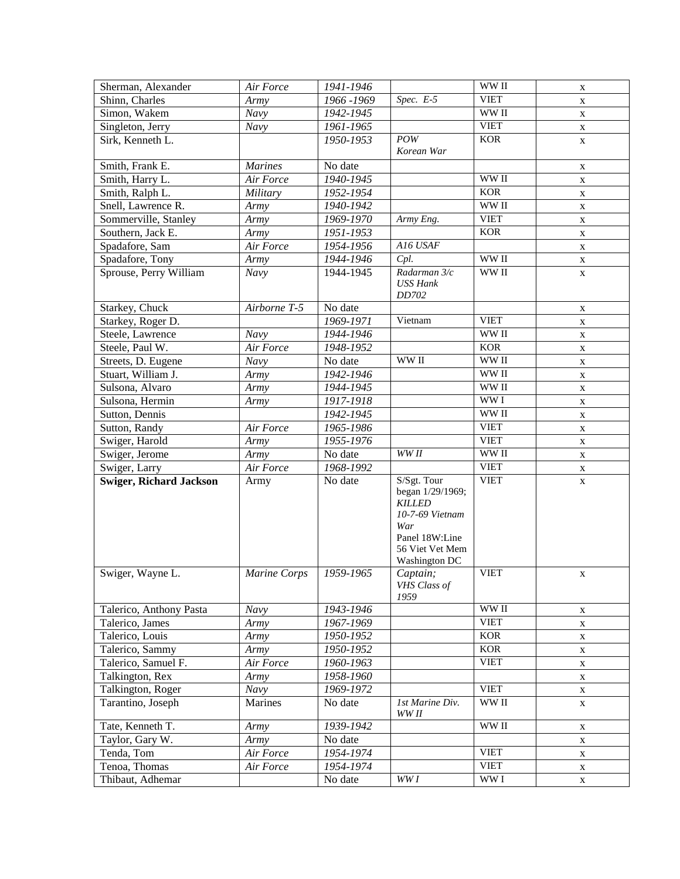| Sherman, Alexander             | Air Force      | 1941-1946   |                          | WW II                              | X           |
|--------------------------------|----------------|-------------|--------------------------|------------------------------------|-------------|
| Shinn, Charles                 | Army           | 1966 - 1969 | Spec. $E-5$              | <b>VIET</b>                        | X           |
| Simon, Wakem                   | Navy           | 1942-1945   |                          | WW II                              | X           |
| Singleton, Jerry               | Navy           | 1961-1965   |                          | <b>VIET</b>                        | X           |
| Sirk, Kenneth L.               |                | 1950-1953   | POW                      | <b>KOR</b>                         | X           |
|                                |                |             | Korean War               |                                    |             |
| Smith, Frank E.                | <b>Marines</b> | No date     |                          |                                    | $\mathbf X$ |
| Smith, Harry L.                | Air Force      | 1940-1945   |                          | WW II                              | X           |
| Smith, Ralph L.                | Military       | 1952-1954   |                          | <b>KOR</b>                         | X           |
| Snell, Lawrence R.             | Army           | 1940-1942   |                          | WW II                              | $\mathbf X$ |
| Sommerville, Stanley           | Army           | 1969-1970   | Army Eng.                | <b>VIET</b>                        | X           |
| Southern, Jack E.              | Army           | 1951-1953   |                          | <b>KOR</b>                         | X           |
| Spadafore, Sam                 | Air Force      | 1954-1956   | A16 USAF                 |                                    | $\mathbf X$ |
| Spadafore, Tony                | Army           | 1944-1946   | Cpl.                     | WW II                              | X           |
| Sprouse, Perry William         | Navy           | 1944-1945   | Radarman 3/c             | WW II                              | $\mathbf X$ |
|                                |                |             | <b>USS Hank</b>          |                                    |             |
|                                |                |             | DD702                    |                                    |             |
| Starkey, Chuck                 | Airborne T-5   | No date     |                          |                                    | X           |
| Starkey, Roger D.              |                | 1969-1971   | Vietnam                  | <b>VIET</b>                        | $\mathbf X$ |
| Steele, Lawrence               | Navy           | 1944-1946   |                          | WW II                              | X           |
| Steele, Paul W.                | Air Force      | 1948-1952   |                          | <b>KOR</b>                         | $\mathbf X$ |
| Streets, D. Eugene             | Navy           | No date     | WW II                    | WW II                              | $\mathbf X$ |
| Stuart, William J.             | Army           | 1942-1946   |                          | WW II                              | $\mathbf X$ |
| Sulsona, Alvaro                | Army           | 1944-1945   |                          | WW II                              | $\mathbf X$ |
| Sulsona, Hermin                | Army           | 1917-1918   |                          | WW <sub>I</sub>                    | $\mathbf X$ |
| Sutton, Dennis                 |                | 1942-1945   |                          | WW II                              | $\mathbf X$ |
| Sutton, Randy                  | Air Force      | 1965-1986   |                          | <b>VIET</b>                        | $\mathbf X$ |
| Swiger, Harold                 | Army           | 1955-1976   |                          | <b>VIET</b>                        | X           |
| Swiger, Jerome                 | Army           | No date     | WW <sub>II</sub>         | WW II                              | $\mathbf X$ |
| Swiger, Larry                  | Air Force      | 1968-1992   |                          | <b>VIET</b>                        | X           |
| <b>Swiger, Richard Jackson</b> | Army           | No date     | S/Sgt. Tour              | <b>VIET</b>                        | $\mathbf X$ |
|                                |                |             | began 1/29/1969;         |                                    |             |
|                                |                |             | <b>KILLED</b>            |                                    |             |
|                                |                |             | 10-7-69 Vietnam<br>War   |                                    |             |
|                                |                |             | Panel 18W:Line           |                                    |             |
|                                |                |             | 56 Viet Vet Mem          |                                    |             |
|                                |                |             | <b>Washington DC</b>     |                                    |             |
| Swiger, Wayne L.               | Marine Corps   | 1959-1965   | Captain;                 | <b>VIET</b>                        | X           |
|                                |                |             | VHS Class of             |                                    |             |
|                                |                |             | 1959                     |                                    |             |
| Talerico, Anthony Pasta        | Navy           | 1943-1946   |                          | WW II                              | X           |
| Talerico, James                | Army           | 1967-1969   |                          | <b>VIET</b>                        | X           |
| Talerico, Louis                | Army           | 1950-1952   |                          | <b>KOR</b>                         | X           |
| Talerico, Sammy                | Army           | 1950-1952   |                          | <b>KOR</b>                         | X           |
| Talerico, Samuel F.            | Air Force      | 1960-1963   |                          | <b>VIET</b>                        | X           |
| Talkington, Rex                | Army           | 1958-1960   |                          |                                    | X           |
| Talkington, Roger              | <b>Navy</b>    | 1969-1972   |                          | <b>VIET</b>                        | $\mathbf X$ |
| Tarantino, Joseph              | Marines        | No date     | 1st Marine Div.<br>WW II | WW II                              | $\mathbf X$ |
| Tate, Kenneth T.               | Army           | 1939-1942   |                          | $\ensuremath{\text{WW}}\xspace$ II | X           |
| Taylor, Gary W.                | Army           | No date     |                          |                                    | X           |
| Tenda, Tom                     | Air Force      | 1954-1974   |                          | <b>VIET</b>                        | X           |
| Tenoa, Thomas                  | Air Force      | 1954-1974   |                          | <b>VIET</b>                        | $\mathbf X$ |
| Thibaut, Adhemar               |                | No date     | WW I                     | WW I                               | X           |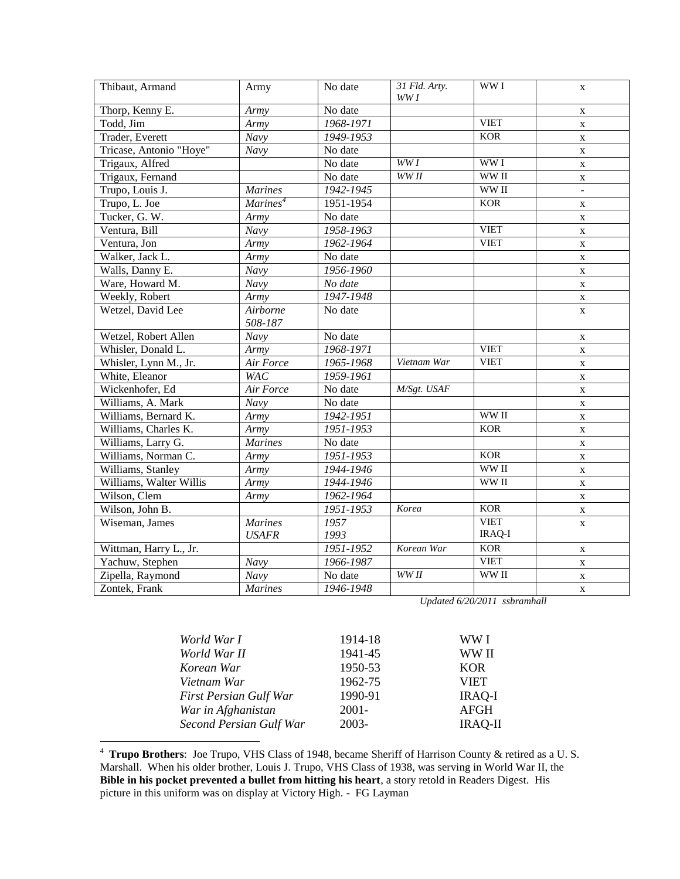| Thibaut, Armand         | Army                           | No date                 | 31 Fld. Arty.<br>WW I | WW I                               | X              |
|-------------------------|--------------------------------|-------------------------|-----------------------|------------------------------------|----------------|
| Thorp, Kenny E.         | Army                           | No date                 |                       |                                    | $\mathbf X$    |
| Todd, Jim               | Army                           | 1968-1971               |                       | <b>VIET</b>                        | X              |
| Trader, Everett         | Navy                           | 1949-1953               |                       | <b>KOR</b>                         | X              |
| Tricase, Antonio "Hoye" | Navy                           | No date                 |                       |                                    | X              |
| Trigaux, Alfred         |                                | No date                 | WW <sub>I</sub>       | WW <sub>I</sub>                    | $\mathbf X$    |
| Trigaux, Fernand        |                                | No date                 | WW <sub>II</sub>      | WW II                              | X              |
| Trupo, Louis J.         | <b>Marines</b>                 | 1942-1945               |                       | $\ensuremath{\text{WW}}\xspace$ II | $\overline{a}$ |
| Trupo, L. Joe           | $\overline{Marines}^4$         | 1951-1954               |                       | <b>KOR</b>                         | $\mathbf X$    |
| Tucker, G. W.           | Army                           | No date                 |                       |                                    | $\mathbf X$    |
| Ventura, Bill           | Navy                           | 1958-1963               |                       | <b>VIET</b>                        | $\mathbf X$    |
| Ventura, Jon            | Army                           | 1962-1964               |                       | <b>VIET</b>                        | $\mathbf X$    |
| Walker, Jack L.         | Army                           | No date                 |                       |                                    | $\mathbf X$    |
| Walls, Danny E.         | Navy                           | 1956-1960               |                       |                                    | $\mathbf X$    |
| Ware, Howard M.         | Navy                           | No date                 |                       |                                    | $\mathbf X$    |
| Weekly, Robert          | Army                           | 1947-1948               |                       |                                    | $\mathbf X$    |
| Wetzel, David Lee       | Airborne<br>508-187            | No date                 |                       |                                    | $\mathbf X$    |
| Wetzel, Robert Allen    | Navy                           | No date                 |                       |                                    | X              |
| Whisler, Donald L.      | Army                           | 1968-1971               |                       | <b>VIET</b>                        | $\mathbf X$    |
| Whisler, Lynn M., Jr.   | Air Force                      | 1965-1968               | Vietnam War           | <b>VIET</b>                        | $\mathbf X$    |
| White, Eleanor          | <b>WAC</b>                     | 1959-1961               |                       |                                    | $\mathbf X$    |
| Wickenhofer, Ed         | Air Force                      | No date                 | M/Sgt. USAF           |                                    | X              |
| Williams, A. Mark       | Navy                           | No date                 |                       |                                    | $\mathbf{X}$   |
| Williams, Bernard K.    | Army                           | 1942-1951               |                       | WW II                              | $\mathbf X$    |
| Williams, Charles K.    | Army                           | 1951-1953               |                       | <b>KOR</b>                         | $\mathbf X$    |
| Williams, Larry G.      | <b>Marines</b>                 | No date                 |                       |                                    | $\mathbf X$    |
| Williams, Norman C.     | Army                           | $1951 - 1953$           |                       | <b>KOR</b>                         | $\mathbf X$    |
| Williams, Stanley       | Army                           | 1944-1946               |                       | WW II                              | $\mathbf X$    |
| Williams, Walter Willis | Army                           | 1944-1946               |                       | WW II                              | $\mathbf X$    |
| Wilson, Clem            | Army                           | 1962-1964               |                       |                                    | $\mathbf X$    |
| Wilson, John B.         |                                | $\overline{1951}$ -1953 | Korea                 | <b>KOR</b>                         | $\mathbf X$    |
| Wiseman, James          | <b>Marines</b><br><b>USAFR</b> | 1957<br>1993            |                       | <b>VIET</b><br>IRAQ-I              | $\mathbf X$    |
| Wittman, Harry L., Jr.  |                                | 1951-1952               | Korean War            | <b>KOR</b>                         | X              |
| Yachuw, Stephen         | Navy                           | 1966-1987               |                       | <b>VIET</b>                        | $\mathbf X$    |
| Zipella, Raymond        | $\overline{Navy}$              | No date                 | WW <sub>II</sub>      | WW II                              | $\mathbf X$    |
| Zontek, Frank           | <b>Marines</b>                 | $1946 - 1948$           |                       |                                    | $\mathbf X$    |

*Updated 6/20/2011 ssbramhall*

|          | WW I           |
|----------|----------------|
| 1941-45  | WW II          |
| 1950-53  | <b>KOR</b>     |
| 1962-75  | <b>VIET</b>    |
| 1990-91  | <b>IRAQ-I</b>  |
| $2001 -$ | <b>AFGH</b>    |
| 2003-    | <b>IRAQ-II</b> |
|          | 1914-18        |

 4 **Trupo Brothers**: Joe Trupo, VHS Class of 1948, became Sheriff of Harrison County & retired as a U. S. Marshall. When his older brother, Louis J. Trupo, VHS Class of 1938, was serving in World War II, the **Bible in his pocket prevented a bullet from hitting his heart**, a story retold in Readers Digest. His picture in this uniform was on display at Victory High. - FG Layman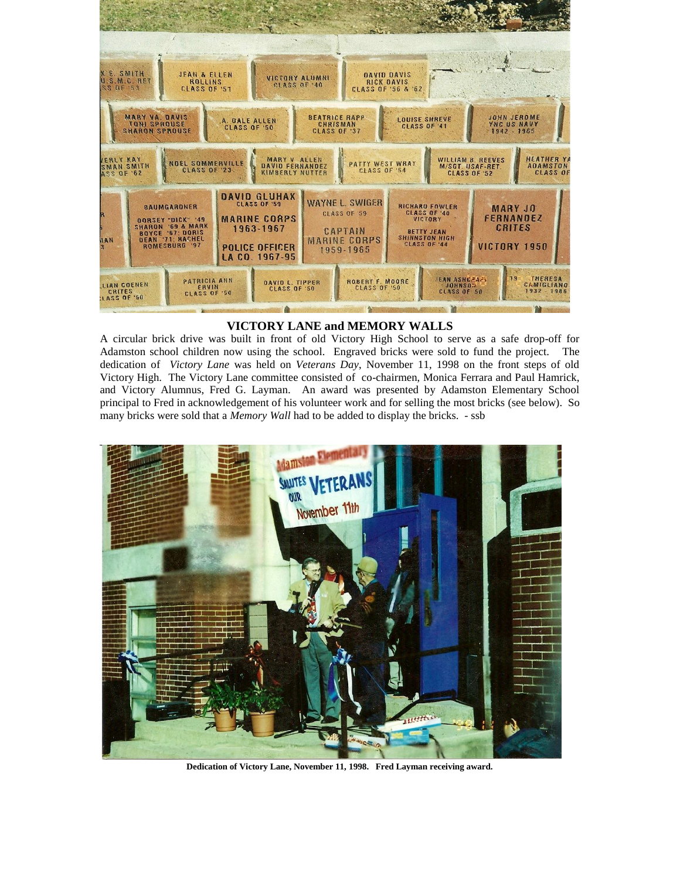

## **VICTORY LANE and MEMORY WALLS**

A circular brick drive was built in front of old Victory High School to serve as a safe drop-off for Adamston school children now using the school. Engraved bricks were sold to fund the project. The dedication of *Victory Lane* was held on *Veterans Day*, November 11, 1998 on the front steps of old Victory High. The Victory Lane committee consisted of co-chairmen, Monica Ferrara and Paul Hamrick, and Victory Alumnus, Fred G. Layman. An award was presented by Adamston Elementary School principal to Fred in acknowledgement of his volunteer work and for selling the most bricks (see below). So many bricks were sold that a *Memory Wall* had to be added to display the bricks. - ssb



**Dedication of Victory Lane, November 11, 1998. Fred Layman receiving award.**